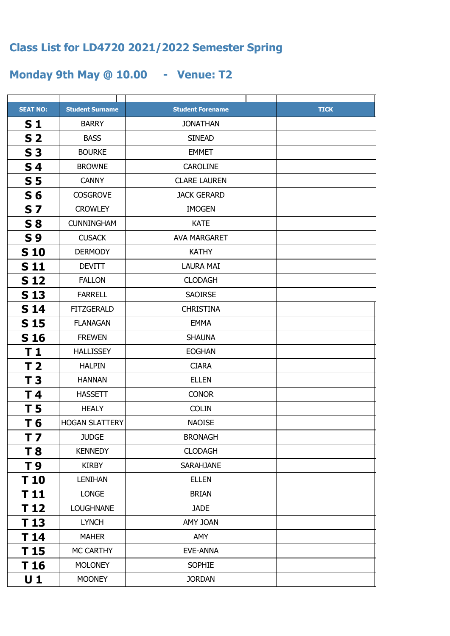## **Class List for LD4720 2021/2022 Semester Spring**

## **Monday 9th May @ 10.00 - Venue: T2**

| <b>SEAT NO:</b> | <b>Student Surname</b> | <b>Student Forename</b> | <b>TICK</b> |
|-----------------|------------------------|-------------------------|-------------|
| S <sub>1</sub>  | <b>BARRY</b>           | <b>JONATHAN</b>         |             |
| S <sub>2</sub>  | <b>BASS</b>            | <b>SINEAD</b>           |             |
| S <sub>3</sub>  | <b>BOURKE</b>          | <b>EMMET</b>            |             |
| S <sub>4</sub>  | <b>BROWNE</b>          | <b>CAROLINE</b>         |             |
| S <sub>5</sub>  | <b>CANNY</b>           | <b>CLARE LAUREN</b>     |             |
| S <sub>6</sub>  | <b>COSGROVE</b>        | <b>JACK GERARD</b>      |             |
| <b>S7</b>       | <b>CROWLEY</b>         | <b>IMOGEN</b>           |             |
| <b>S 8</b>      | <b>CUNNINGHAM</b>      | <b>KATE</b>             |             |
| <b>S9</b>       | <b>CUSACK</b>          | <b>AVA MARGARET</b>     |             |
| <b>S10</b>      | <b>DERMODY</b>         | <b>KATHY</b>            |             |
| <b>S11</b>      | <b>DEVITT</b>          | <b>LAURA MAI</b>        |             |
| <b>S12</b>      | <b>FALLON</b>          | <b>CLODAGH</b>          |             |
| S <sub>13</sub> | <b>FARRELL</b>         | <b>SAOIRSE</b>          |             |
| <b>S14</b>      | <b>FITZGERALD</b>      | <b>CHRISTINA</b>        |             |
| S 15            | <b>FLANAGAN</b>        | <b>EMMA</b>             |             |
| <b>S16</b>      | <b>FREWEN</b>          | <b>SHAUNA</b>           |             |
| T 1             | <b>HALLISSEY</b>       | <b>EOGHAN</b>           |             |
| T 2             | <b>HALPIN</b>          | <b>CIARA</b>            |             |
| T <sub>3</sub>  | <b>HANNAN</b>          | <b>ELLEN</b>            |             |
| T 4             | <b>HASSETT</b>         | <b>CONOR</b>            |             |
| T 5             | <b>HEALY</b>           | <b>COLIN</b>            |             |
| T 6             | <b>HOGAN SLATTERY</b>  | <b>NAOISE</b>           |             |
| T <sub>7</sub>  | <b>JUDGE</b>           | <b>BRONAGH</b>          |             |
| T 8             | <b>KENNEDY</b>         | <b>CLODAGH</b>          |             |
| T 9             | <b>KIRBY</b>           | <b>SARAHJANE</b>        |             |
| T 10            | <b>LENIHAN</b>         | <b>ELLEN</b>            |             |
| T 11            | <b>LONGE</b>           | <b>BRIAN</b>            |             |
| T 12            | <b>LOUGHNANE</b>       | <b>JADE</b>             |             |
| T 13            | <b>LYNCH</b>           | AMY JOAN                |             |
| T 14            | <b>MAHER</b>           | AMY                     |             |
| T 15            | MC CARTHY              | EVE-ANNA                |             |
| T 16            | <b>MOLONEY</b>         | <b>SOPHIE</b>           |             |
| $U_1$           | <b>MOONEY</b>          | <b>JORDAN</b>           |             |